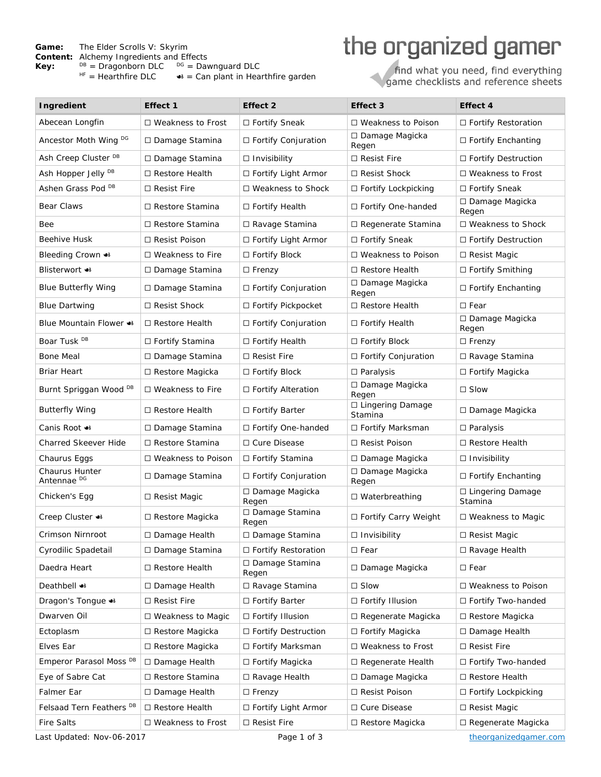## **Game:** The Elder Scrolls V: Skyrim

**Content:** Alchemy Ingredients and Effects

**Key:**  $\frac{DB}{HF}$  = Dragonborn DLC  $\frac{DG}{HF}$  = Dawnguard DLC  $\frac{DB}{HF}$  = Hearthfire DLC  $\bullet$  = Can plant in Hearthfire garden

## the organized gamer

find what you need, find everything<br>game checklists and reference sheets

| Ingredient                                                                                                                             | Effect 1                 | Effect 2                   | Effect 3                      | Effect 4                      |
|----------------------------------------------------------------------------------------------------------------------------------------|--------------------------|----------------------------|-------------------------------|-------------------------------|
| Abecean Longfin                                                                                                                        | □ Weakness to Frost      | □ Fortify Sneak            | □ Weakness to Poison          | □ Fortify Restoration         |
| Ancestor Moth Wing DG                                                                                                                  | □ Damage Stamina         | □ Fortify Conjuration      | □ Damage Magicka<br>Regen     | □ Fortify Enchanting          |
| Ash Creep Cluster <sup>DB</sup>                                                                                                        | □ Damage Stamina         | $\Box$ Invisibility        | $\Box$ Resist Fire            | □ Fortify Destruction         |
| Ash Hopper Jelly <sup>DB</sup>                                                                                                         | $\Box$ Restore Health    | $\Box$ Fortify Light Armor | $\Box$ Resist Shock           | $\Box$ Weakness to Frost      |
| Ashen Grass Pod DB                                                                                                                     | $\Box$ Resist Fire       | $\Box$ Weakness to Shock   | $\Box$ Fortify Lockpicking    | □ Fortify Sneak               |
| Bear Claws                                                                                                                             | □ Restore Stamina        | □ Fortify Health           | □ Fortify One-handed          | □ Damage Magicka<br>Regen     |
| Bee                                                                                                                                    | □ Restore Stamina        | □ Ravage Stamina           | □ Regenerate Stamina          | $\Box$ Weakness to Shock      |
| Beehive Husk                                                                                                                           | $\Box$ Resist Poison     | □ Fortify Light Armor      | □ Fortify Sneak               | $\Box$ Fortify Destruction    |
| Bleeding Crown <■                                                                                                                      | $\Box$ Weakness to Fire  | □ Fortify Block            | □ Weakness to Poison          | $\Box$ Resist Magic           |
| <b>Blisterwort <math>\bullet</math></b>                                                                                                | □ Damage Stamina         | $\Box$ Frenzy              | $\Box$ Restore Health         | $\Box$ Fortify Smithing       |
| <b>Blue Butterfly Wing</b>                                                                                                             | □ Damage Stamina         | □ Fortify Conjuration      | □ Damage Magicka<br>Regen     | □ Fortify Enchanting          |
| <b>Blue Dartwing</b>                                                                                                                   | $\Box$ Resist Shock      | $\Box$ Fortify Pickpocket  | $\Box$ Restore Health         | $\Box$ Fear                   |
| Blue Mountain Flower <■                                                                                                                | $\Box$ Restore Health    | □ Fortify Conjuration      | $\Box$ Fortify Health         | □ Damage Magicka<br>Regen     |
| Boar Tusk DB                                                                                                                           | □ Fortify Stamina        | □ Fortify Health           | $\Box$ Fortify Block          | $\Box$ Frenzy                 |
| <b>Bone Meal</b>                                                                                                                       | □ Damage Stamina         | $\Box$ Resist Fire         | □ Fortify Conjuration         | □ Ravage Stamina              |
| Briar Heart                                                                                                                            | □ Restore Magicka        | $\Box$ Fortify Block       | $\Box$ Paralysis              | $\Box$ Fortify Magicka        |
| Burnt Spriggan Wood DB                                                                                                                 | $\Box$ Weakness to Fire  | □ Fortify Alteration       | □ Damage Magicka<br>Regen     | $\Box$ Slow                   |
| <b>Butterfly Wing</b>                                                                                                                  | $\Box$ Restore Health    | $\Box$ Fortify Barter      | □ Lingering Damage<br>Stamina | $\Box$ Damage Magicka         |
| Canis Root <6                                                                                                                          | □ Damage Stamina         | □ Fortify One-handed       | □ Fortify Marksman            | $\Box$ Paralysis              |
| <b>Charred Skeever Hide</b>                                                                                                            | □ Restore Stamina        | □ Cure Disease             | □ Resist Poison               | $\Box$ Restore Health         |
| Chaurus Eggs                                                                                                                           | □ Weakness to Poison     | □ Fortify Stamina          | □ Damage Magicka              | $\Box$ Invisibility           |
| Chaurus Hunter<br>Antennae <sup>DG</sup>                                                                                               | □ Damage Stamina         | □ Fortify Conjuration      | □ Damage Magicka<br>Regen     | □ Fortify Enchanting          |
| Chicken's Egg                                                                                                                          | $\Box$ Resist Magic      | □ Damage Magicka<br>Regen  | □ Waterbreathing              | □ Lingering Damage<br>Stamina |
| Creep Cluster $\bullet\bullet$                                                                                                         | □ Restore Magicka        | □ Damage Stamina<br>Regen  | □ Fortify Carry Weight        | $\Box$ Weakness to Magic      |
| Crimson Nirnroot                                                                                                                       | □ Damage Health          | □ Damage Stamina           | $\Box$ Invisibility           | $\Box$ Resist Magic           |
| Cyrodilic Spadetail                                                                                                                    | □ Damage Stamina         | □ Fortify Restoration      | $\square$ Fear                | □ Ravage Health               |
| Daedra Heart                                                                                                                           | $\Box$ Restore Health    | □ Damage Stamina<br>Regen  | □ Damage Magicka              | $\square$ Fear                |
| <b>Deathbell **</b>                                                                                                                    | □ Damage Health          | □ Ravage Stamina           | $\square$ Slow                | □ Weakness to Poison          |
| Dragon's Tongue <a< td=""><td>□ Resist Fire</td><td>□ Fortify Barter</td><td>□ Fortify Illusion</td><td>□ Fortify Two-handed</td></a<> | □ Resist Fire            | □ Fortify Barter           | □ Fortify Illusion            | □ Fortify Two-handed          |
| Dwarven Oil                                                                                                                            | $\Box$ Weakness to Magic | □ Fortify Illusion         | □ Regenerate Magicka          | $\Box$ Restore Magicka        |
| Ectoplasm                                                                                                                              | $\Box$ Restore Magicka   | □ Fortify Destruction      | □ Fortify Magicka             | □ Damage Health               |
| Elves Ear                                                                                                                              | $\Box$ Restore Magicka   | □ Fortify Marksman         | $\Box$ Weakness to Frost      | $\Box$ Resist Fire            |
| Emperor Parasol Moss DB                                                                                                                | □ Damage Health          | □ Fortify Magicka          | $\Box$ Regenerate Health      | $\Box$ Fortify Two-handed     |
| Eye of Sabre Cat                                                                                                                       | □ Restore Stamina        | □ Ravage Health            | □ Damage Magicka              | □ Restore Health              |
| Falmer Ear                                                                                                                             | □ Damage Health          | $\Box$ Frenzy              | □ Resist Poison               | □ Fortify Lockpicking         |
| Felsaad Tern Feathers <sup>DB</sup>                                                                                                    | □ Restore Health         | $\Box$ Fortify Light Armor | □ Cure Disease                | $\Box$ Resist Magic           |
| <b>Fire Salts</b>                                                                                                                      | □ Weakness to Frost      | □ Resist Fire              | □ Restore Magicka             | □ Regenerate Magicka          |

Last Updated: Nov-06-2017 **Page 1 of 3 Page 1 of 3 Community Page 1 of 3 Page 1 of 3 theorganizedgamer.com**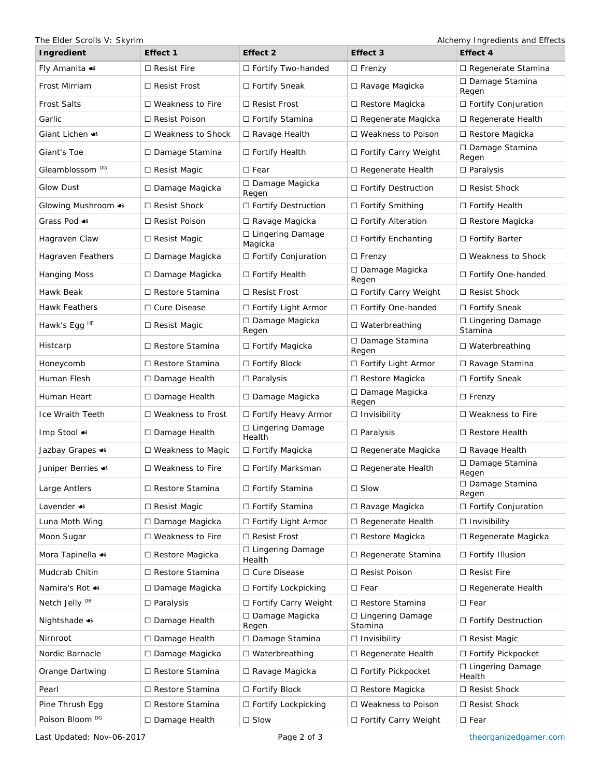The Elder Scrolls V: Skyrim and Effects and Effects and Effects

| Ingredient                  | Effect 1                 | Effect 2                          | Effect 3                      | Effect 4                      |
|-----------------------------|--------------------------|-----------------------------------|-------------------------------|-------------------------------|
| Fly Amanita $\bullet$       | $\Box$ Resist Fire       | □ Fortify Two-handed              | $\Box$ Frenzy                 | □ Regenerate Stamina          |
| Frost Mirriam               | $\Box$ Resist Frost      | □ Fortify Sneak                   | $\Box$ Ravage Magicka         | □ Damage Stamina<br>Regen     |
| <b>Frost Salts</b>          | $\Box$ Weakness to Fire  | $\Box$ Resist Frost               | $\Box$ Restore Magicka        | □ Fortify Conjuration         |
| Garlic                      | $\Box$ Resist Poison     | □ Fortify Stamina                 | $\Box$ Regenerate Magicka     | □ Regenerate Health           |
| Giant Lichen <8             | $\Box$ Weakness to Shock | □ Ravage Health                   | □ Weakness to Poison          | $\Box$ Restore Magicka        |
| Giant's Toe                 | □ Damage Stamina         | □ Fortify Health                  | □ Fortify Carry Weight        | □ Damage Stamina<br>Regen     |
| Gleamblossom <sup>DG</sup>  | □ Resist Magic           | $\Box$ Fear                       | $\Box$ Regenerate Health      | $\Box$ Paralysis              |
| Glow Dust                   | $\Box$ Damage Magicka    | □ Damage Magicka<br>Regen         | □ Fortify Destruction         | $\Box$ Resist Shock           |
| Glowing Mushroom <6         | $\Box$ Resist Shock      | □ Fortify Destruction             | $\Box$ Fortify Smithing       | $\Box$ Fortify Health         |
| Grass Pod $\bullet$         | □ Resist Poison          | □ Ravage Magicka                  | □ Fortify Alteration          | $\Box$ Restore Magicka        |
| Hagraven Claw               | $\Box$ Resist Magic      | □ Lingering Damage<br>Magicka     | □ Fortify Enchanting          | □ Fortify Barter              |
| Hagraven Feathers           | □ Damage Magicka         | □ Fortify Conjuration             | $\Box$ Frenzy                 | $\Box$ Weakness to Shock      |
| <b>Hanging Moss</b>         | □ Damage Magicka         | □ Fortify Health                  | □ Damage Magicka<br>Regen     | □ Fortify One-handed          |
| Hawk Beak                   | $\Box$ Restore Stamina   | $\Box$ Resist Frost               | □ Fortify Carry Weight        | □ Resist Shock                |
| Hawk Feathers               | □ Cure Disease           | $\Box$ Fortify Light Armor        | □ Fortify One-handed          | □ Fortify Sneak               |
| Hawk's Egg <sup>HF</sup>    | $\Box$ Resist Magic      | □ Damage Magicka<br>Regen         | $\Box$ Waterbreathing         | □ Lingering Damage<br>Stamina |
| Histcarp                    | □ Restore Stamina        | □ Fortify Magicka                 | □ Damage Stamina<br>Regen     | $\Box$ Waterbreathing         |
| Honeycomb                   | □ Restore Stamina        | □ Fortify Block                   | □ Fortify Light Armor         | □ Ravage Stamina              |
| Human Flesh                 | $\Box$ Damage Health     | $\square$ Paralysis               | □ Restore Magicka             | □ Fortify Sneak               |
| Human Heart                 | □ Damage Health          | □ Damage Magicka                  | □ Damage Magicka<br>Regen     | $\Box$ Frenzy                 |
| Ice Wraith Teeth            | $\Box$ Weakness to Frost | □ Fortify Heavy Armor             | $\Box$ Invisibility           | $\Box$ Weakness to Fire       |
| Imp Stool ⊕                 | $\Box$ Damage Health     | □ Lingering Damage<br>Health      | □ Paralysis                   | $\Box$ Restore Health         |
| Jazbay Grapes 3             | □ Weakness to Magic      | □ Fortify Magicka                 | □ Regenerate Magicka          | $\Box$ Ravage Health          |
| Juniper Berries <>          | $\Box$ Weakness to Fire  | □ Fortify Marksman                | □ Regenerate Health           | □ Damage Stamina<br>Regen     |
| Large Antlers               | □ Restore Stamina        | □ Fortify Stamina                 | $\square$ Slow                | □ Damage Stamina<br>Regen     |
| Lavender $\bullet\bullet$   | $\Box$ Resist Magic      | □ Fortify Stamina                 | □ Ravage Magicka              | □ Fortify Conjuration         |
| Luna Moth Wing              | □ Damage Magicka         | □ Fortify Light Armor             | □ Regenerate Health           | $\Box$ Invisibility           |
| Moon Sugar                  | $\Box$ Weakness to Fire  | $\Box$ Resist Frost               | $\Box$ Restore Magicka        | $\Box$ Regenerate Magicka     |
| Mora Tapinella $\bullet$    | $\Box$ Restore Magicka   | $\Box$ Lingering Damage<br>Health | □ Regenerate Stamina          | □ Fortify Illusion            |
| Mudcrab Chitin              | □ Restore Stamina        | □ Cure Disease                    | □ Resist Poison               | $\Box$ Resist Fire            |
| Namira's Rot ⊕              | $\Box$ Damage Magicka    | □ Fortify Lockpicking             | $\square$ Fear                | □ Regenerate Health           |
| Netch Jelly <sup>DB</sup>   | $\Box$ Paralysis         | □ Fortify Carry Weight            | □ Restore Stamina             | $\square$ Fear                |
| Nightshade $\bullet\bullet$ | $\Box$ Damage Health     | □ Damage Magicka<br>Regen         | □ Lingering Damage<br>Stamina | $\Box$ Fortify Destruction    |
| Nirnroot                    | □ Damage Health          | □ Damage Stamina                  | $\Box$ Invisibility           | $\Box$ Resist Magic           |
| Nordic Barnacle             | $\Box$ Damage Magicka    | $\Box$ Waterbreathing             | $\Box$ Regenerate Health      | □ Fortify Pickpocket          |
| Orange Dartwing             | □ Restore Stamina        | □ Ravage Magicka                  | □ Fortify Pickpocket          | □ Lingering Damage<br>Health  |
| Pearl                       | $\Box$ Restore Stamina   | $\Box$ Fortify Block              | $\Box$ Restore Magicka        | □ Resist Shock                |
| Pine Thrush Egg             | □ Restore Stamina        | $\Box$ Fortify Lockpicking        | □ Weakness to Poison          | $\Box$ Resist Shock           |
| Poison Bloom <sup>DG</sup>  | $\Box$ Damage Health     | $\square$ Slow                    | $\Box$ Fortify Carry Weight   | $\square$ Fear                |